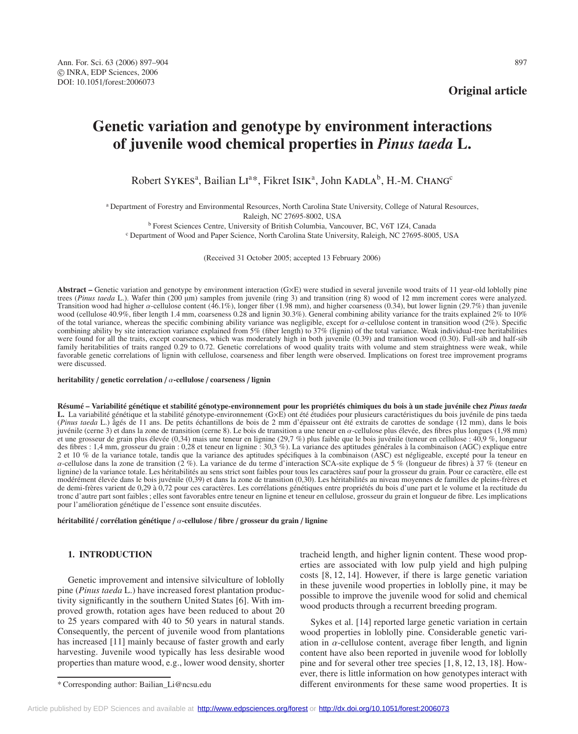**Original article**

# **Genetic variation and genotype by environment interactions of juvenile wood chemical properties in** *Pinus taeda* **L.**

Robert SYKES<sup>a</sup>, Bailian LI<sup>a\*</sup>, Fikret ISIK<sup>a</sup>, John KADLA<sup>b</sup>, H.-M. CHANG<sup>c</sup>

<sup>a</sup> Department of Forestry and Environmental Resources, North Carolina State University, College of Natural Resources, Raleigh, NC 27695-8002, USA

<sup>b</sup> Forest Sciences Centre, University of British Columbia, Vancouver, BC, V6T 1Z4, Canada

<sup>c</sup> Department of Wood and Paper Science, North Carolina State University, Raleigh, NC 27695-8005, USA

(Received 31 October 2005; accepted 13 February 2006)

**Abstract –** Genetic variation and genotype by environment interaction (G×E) were studied in several juvenile wood traits of 11 year-old loblolly pine trees (*Pinus taeda* L.). Wafer thin (200 µm) samples from juvenile (ring 3) and transition (ring 8) wood of 12 mm increment cores were analyzed. Transition wood had higher  $\alpha$ -cellulose content (46.1%), longer fiber (1.98 mm), and higher coarseness (0.34), but lower lignin (29.7%) than juvenile wood (cellulose 40.9%, fiber length 1.4 mm, coarseness 0.28 and lignin 30.3%). General combining ability variance for the traits explained 2% to 10% of the total variance, whereas the specific combining ability variance was negligible, except for α-cellulose content in transition wood (2%). Specific combining ability by site interaction variance explained from 5% (fiber length) to 37% (lignin) of the total variance. Weak individual-tree heritabilities were found for all the traits, except coarseness, which was moderately high in both juvenile (0.39) and transition wood (0.30). Full-sib and half-sib family heritabilities of traits ranged 0.29 to 0.72. Genetic correlations of wood quality traits with volume and stem straightness were weak, while favorable genetic correlations of lignin with cellulose, coarseness and fiber length were observed. Implications on forest tree improvement programs were discussed.

#### **heritability** / **genetic correlation** / α**-cellulose** / **coarseness** / **lignin**

**Résumé – Variabilité génétique et stabilité génotype-environnement pour les propriétés chimiques du bois à un stade juvénile chez** *Pinus taeda* **L.** La variabilité génétique et la stabilité génotype-environnement (G×E) ont été étudiées pour plusieurs caractéristiques du bois juvénile de pins taeda (*Pinus taeda* L.) âgés de 11 ans. De petits échantillons de bois de 2 mm d'épaisseur ont été extraits de carottes de sondage (12 mm), dans le bois juvénile (cerne 3) et dans la zone de transition (cerne 8). Le bois de tr juvénile (cerne 3) et dans la zone de transition (cerne 8). Le bois de transition a une teneur en α-cellulose plus élevée, des fibres plus longues (1,98 mm) et une grosseur de grain plus élevée (0,34) mais une teneur en l des fibres : 1,4 mm, grosseur du grain : 0,28 et teneur en lignine : 30,3 %). La variance des aptitudes générales à la combinaison (AGC) explique entre 2 et 10 % de la variance totale, tandis que la variance des aptitudes spécifiques à la combinaison (ASC) est négligeable, excepté pour la teneur en α-cellulose dans la zone de transition (2 %). La variance de du terme d'interaction SCA-site explique de 5 % (longueur de fibres) à 37 % (teneur en lignine) de la variance totale. Les héritabilités au sens strict sont faibles pour tous les caractères sauf pour la grosseur du grain. Pour ce caractère, elle est modérément élevée dans le bois juvénile (0,39) et dans la zone de transition (0,30). Les héritabilités au niveau moyennes de familles de pleins-frères et de demi-frères varient de 0,29 à 0,72 pour ces caractères. Les corrélations génétiques entre propriétés du bois d'une part et le volume et la rectitude du tronc d'autre part sont faibles ; elles sont favorables entre teneur en lignine et teneur en cellulose, grosseur du grain et longueur de fibre. Les implications pour l'amélioration génétique de l'essence sont ensuite discutées.

**héritabilité** / **corrélation génétique** / α**-cellulose** / **fibre** / **grosseur du grain** / **lignine**

## **1. INTRODUCTION**

Genetic improvement and intensive silviculture of loblolly pine (*Pinus taeda* L.) have increased forest plantation productivity significantly in the southern United States [6]. With improved growth, rotation ages have been reduced to about 20 to 25 years compared with 40 to 50 years in natural stands. Consequently, the percent of juvenile wood from plantations has increased [11] mainly because of faster growth and early harvesting. Juvenile wood typically has less desirable wood properties than mature wood, e.g., lower wood density, shorter tracheid length, and higher lignin content. These wood properties are associated with low pulp yield and high pulping costs [8, 12, 14]. However, if there is large genetic variation in these juvenile wood properties in loblolly pine, it may be possible to improve the juvenile wood for solid and chemical wood products through a recurrent breeding program.

Sykes et al. [14] reported large genetic variation in certain wood properties in loblolly pine. Considerable genetic variation in  $\alpha$ -cellulose content, average fiber length, and lignin content have also been reported in juvenile wood for loblolly pine and for several other tree species [1, 8, 12, 13, 18]. However, there is little information on how genotypes interact with different environments for these same wood properties. It is

<sup>\*</sup> Corresponding author: Bailian\_Li@ncsu.edu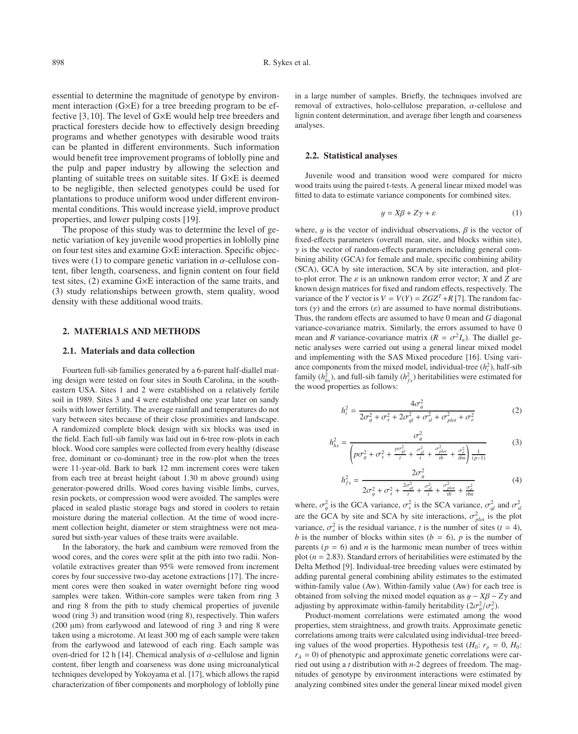essential to determine the magnitude of genotype by environment interaction (G×E) for a tree breeding program to be effective [3, 10]. The level of G×E would help tree breeders and practical foresters decide how to effectively design breeding programs and whether genotypes with desirable wood traits can be planted in different environments. Such information would benefit tree improvement programs of loblolly pine and the pulp and paper industry by allowing the selection and planting of suitable trees on suitable sites. If G×E is deemed to be negligible, then selected genotypes could be used for plantations to produce uniform wood under different environmental conditions. This would increase yield, improve product properties, and lower pulping costs [19].

The propose of this study was to determine the level of genetic variation of key juvenile wood properties in loblolly pine on four test sites and examine G×E interaction. Specific objectives were (1) to compare genetic variation in  $\alpha$ -cellulose content, fiber length, coarseness, and lignin content on four field test sites, (2) examine G×E interaction of the same traits, and (3) study relationships between growth, stem quality, wood density with these additional wood traits.

## **2. MATERIALS AND METHODS**

#### **2.1. Materials and data collection**

Fourteen full-sib families generated by a 6-parent half-diallel mating design were tested on four sites in South Carolina, in the southeastern USA. Sites 1 and 2 were established on a relatively fertile soil in 1989. Sites 3 and 4 were established one year later on sandy soils with lower fertility. The average rainfall and temperatures do not vary between sites because of their close proximities and landscape. A randomized complete block design with six blocks was used in the field. Each full-sib family was laid out in 6-tree row-plots in each block. Wood core samples were collected from every healthy (disease free, dominant or co-dominant) tree in the row-plot when the trees were 11-year-old. Bark to bark 12 mm increment cores were taken from each tree at breast height (about 1.30 m above ground) using generator-powered drills. Wood cores having visible limbs, curves, resin pockets, or compression wood were avoided. The samples were placed in sealed plastic storage bags and stored in coolers to retain moisture during the material collection. At the time of wood increment collection height, diameter or stem straightness were not measured but sixth-year values of these traits were available.

In the laboratory, the bark and cambium were removed from the wood cores, and the cores were split at the pith into two radii. Nonvolatile extractives greater than 95% were removed from increment cores by four successive two-day acetone extractions [17]. The increment cores were then soaked in water overnight before ring wood samples were taken. Within-core samples were taken from ring 3 and ring 8 from the pith to study chemical properties of juvenile wood (ring 3) and transition wood (ring 8), respectively. Thin wafers (200 µm) from earlywood and latewood of ring 3 and ring 8 were taken using a microtome. At least 300 mg of each sample were taken from the earlywood and latewood of each ring. Each sample was oven-dried for 12 h [14]. Chemical analysis of  $\alpha$ -cellulose and lignin content, fiber length and coarseness was done using microanalytical techniques developed by Yokoyama et al. [17], which allows the rapid characterization of fiber components and morphology of loblolly pine in a large number of samples. Briefly, the techniques involved are removal of extractives, holo-cellulose preparation,  $\alpha$ -cellulose and lignin content determination, and average fiber length and coarseness analyses.

#### **2.2. Statistical analyses**

Juvenile wood and transition wood were compared for micro wood traits using the paired t-tests. A general linear mixed model was fitted to data to estimate variance components for combined sites.

$$
y = X\beta + Z\gamma + \varepsilon \tag{1}
$$

where, y is the vector of individual observations,  $\beta$  is the vector of fixed-effects parameters (overall mean, site, and blocks within site),  $\gamma$  is the vector of random-effects parameters including general combining ability (GCA) for female and male, specific combining ability (SCA), GCA by site interaction, SCA by site interaction, and plotto-plot error. The  $\varepsilon$  is an unknown random error vector; *X* and *Z* are known design matrices for fixed and random effects, respectively. The variance of the *Y* vector is  $V = V(Y) = ZGZ^{T} + R$  [7]. The random factors  $(\gamma)$  and the errors  $(\varepsilon)$  are assumed to have normal distributions. Thus, the random effects are assumed to have 0 mean and *G* diagonal variance-covariance matrix. Similarly, the errors assumed to have 0 mean and *R* variance-covariance matrix ( $R = \sigma^2 I_n$ ). The diallel genetic analyses were carried out using a general linear mixed model and implementing with the SAS Mixed procedure [16]. Using variance components from the mixed model, individual-tree  $(h_i^2)$ , half-sib family  $(h_{hs}^2)$ , and full-sib family  $(h_{fs}^2)$  heritabilities were estimated for the wood properties as follows:

$$
h_i^2 = \frac{4\sigma_g^2}{2\sigma_g^2 + \sigma_s^2 + 2\sigma_{gl}^2 + \sigma_{sl}^2 + \sigma_{plot}^2 + \sigma_e^2}
$$
 (2)

$$
h_{hs}^{2} = \frac{\sigma_{g}^{2}}{\left(p\sigma_{g}^{2} + \sigma_{s}^{2} + \frac{p\sigma_{gl}^{2}}{t} + \frac{\sigma_{sl}^{2}}{t} + \frac{\sigma_{pol}^{2}}{t} + \frac{\sigma_{e}^{2}}{t} + \frac{\sigma_{e}^{2}}{t}}\right) \frac{1}{(p-1)}}
$$
(3)

$$
h_{fs}^2 = \frac{2\sigma_g^2}{2\sigma_g^2 + \sigma_s^2 + \frac{2\sigma_{gl}^2}{t} + \frac{\sigma_{sl}^2}{t} + \frac{\sigma_{plot}^2}{tb} + \frac{\sigma_e^2}{tbn}} \tag{4}
$$

where,  $\sigma_g^2$  is the GCA variance,  $\sigma_s^2$  is the SCA variance,  $\sigma_{gl}^2$  and  $\sigma_{sl}^2$ <br>are the GCA by site and SCA by site interactions,  $\sigma_g^2$ , is the plot are the GCA by site and SCA by site interactions,  $\sigma_{plot}^2$  is the plot variance,  $\sigma_e^2$  is the residual variance, *t* is the number of sites (*t* = 4),<br>*h* is the number of blocks within sites (*h* = 6), *n* is the number of *b* is the number of blocks within sites ( $b = 6$ ),  $p$  is the number of parents ( $p = 6$ ) and *n* is the harmonic mean number of trees within plot ( $n = 2.83$ ). Standard errors of heritabilities were estimated by the Delta Method [9]. Individual-tree breeding values were estimated by adding parental general combining ability estimates to the estimated within-family value (Aw). Within-family value (Aw) for each tree is obtained from solving the mixed model equation as y <sup>−</sup> *<sup>X</sup>*β <sup>−</sup> *<sup>Z</sup>*γ and adjusting by approximate within-family heritability  $(2\sigma_g^2/\sigma_e^2)$ .<br>Product-moment correlations were estimated among the

Product-moment correlations were estimated among the wood properties, stem straightness, and growth traits. Approximate genetic correlations among traits were calculated using individual-tree breeding values of the wood properties. Hypothesis test  $(H_0: r_p = 0, H_0:$  $r_A$  = 0) of phenotypic and approximate genetic correlations were carried out using a *t* distribution with *n*-2 degrees of freedom. The magnitudes of genotype by environment interactions were estimated by analyzing combined sites under the general linear mixed model given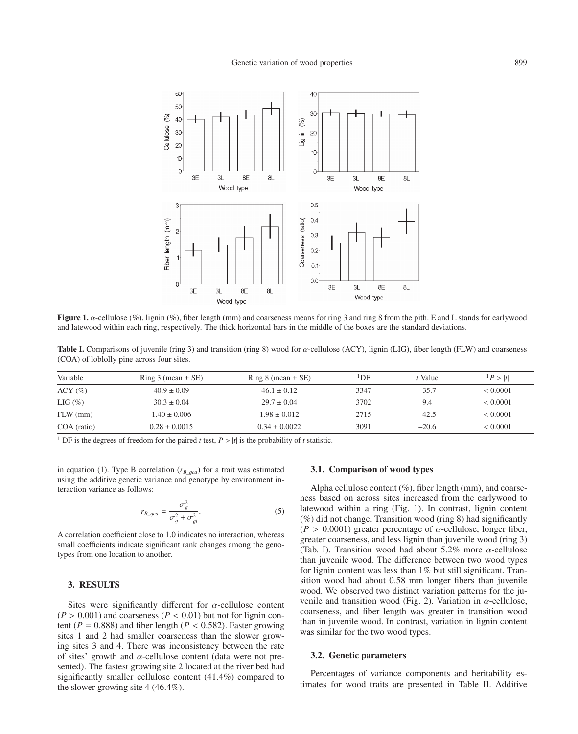

**Figure 1.** α-cellulose (%), lignin (%), fiber length (mm) and coarseness means for ring 3 and ring 8 from the pith. E and L stands for earlywood and latewood within each ring, respectively. The thick horizontal bars in the middle of the boxes are the standard deviations.

**Table I.** Comparisons of juvenile (ring 3) and transition (ring 8) wood for α-cellulose (ACY), lignin (LIG), fiber length (FLW) and coarseness (COA) of loblolly pine across four sites.

| Ring 3 (mean $\pm$ SE) | Ring 8 (mean $\pm$ SE) | <sup>1</sup> DF | t Value | P >  t       |
|------------------------|------------------------|-----------------|---------|--------------|
| $40.9 \pm 0.09$        | $46.1 \pm 0.12$        | 3347            | $-35.7$ | ${}< 0.0001$ |
| $30.3 \pm 0.04$        | $29.7 \pm 0.04$        | 3702            | 9.4     | < 0.0001     |
| $1.40 \pm 0.006$       | $1.98 \pm 0.012$       | 2715            | $-42.5$ | < 0.0001     |
| $0.28 \pm 0.0015$      | $0.34 \pm 0.0022$      | 3091            | $-20.6$ | < 0.0001     |
|                        |                        |                 |         |              |

<sup>1</sup> DF is the degrees of freedom for the paired *t* test,  $P > |t|$  is the probability of *t* statistic.

in equation (1). Type B correlation ( $r_{B\_g c a}$ ) for a trait was estimated using the additive genetic variance and genotype by environment interaction variance as follows:

$$
r_{B\_gca} = \frac{\sigma_g^2}{\sigma_g^2 + \sigma_{gl}^2}.
$$
 (5)

A correlation coefficient close to 1.0 indicates no interaction, whereas small coefficients indicate significant rank changes among the genotypes from one location to another.

# **3. RESULTS**

Sites were significantly different for  $\alpha$ -cellulose content  $(P > 0.001)$  and coarseness  $(P < 0.01)$  but not for lignin content ( $P = 0.888$ ) and fiber length ( $P < 0.582$ ). Faster growing sites 1 and 2 had smaller coarseness than the slower growing sites 3 and 4. There was inconsistency between the rate of sites' growth and  $\alpha$ -cellulose content (data were not presented). The fastest growing site 2 located at the river bed had significantly smaller cellulose content (41.4%) compared to the slower growing site 4 (46.4%).

## **3.1. Comparison of wood types**

Alpha cellulose content  $(\%)$ , fiber length (mm), and coarseness based on across sites increased from the earlywood to latewood within a ring (Fig. 1). In contrast, lignin content (%) did not change. Transition wood (ring 8) had significantly  $(P > 0.0001)$  greater percentage of  $\alpha$ -cellulose, longer fiber, greater coarseness, and less lignin than juvenile wood (ring 3) (Tab. I). Transition wood had about  $5.2\%$  more  $\alpha$ -cellulose than juvenile wood. The difference between two wood types for lignin content was less than 1% but still significant. Transition wood had about 0.58 mm longer fibers than juvenile wood. We observed two distinct variation patterns for the juvenile and transition wood (Fig. 2). Variation in  $\alpha$ -cellulose, coarseness, and fiber length was greater in transition wood than in juvenile wood. In contrast, variation in lignin content was similar for the two wood types.

# **3.2. Genetic parameters**

Percentages of variance components and heritability estimates for wood traits are presented in Table II. Additive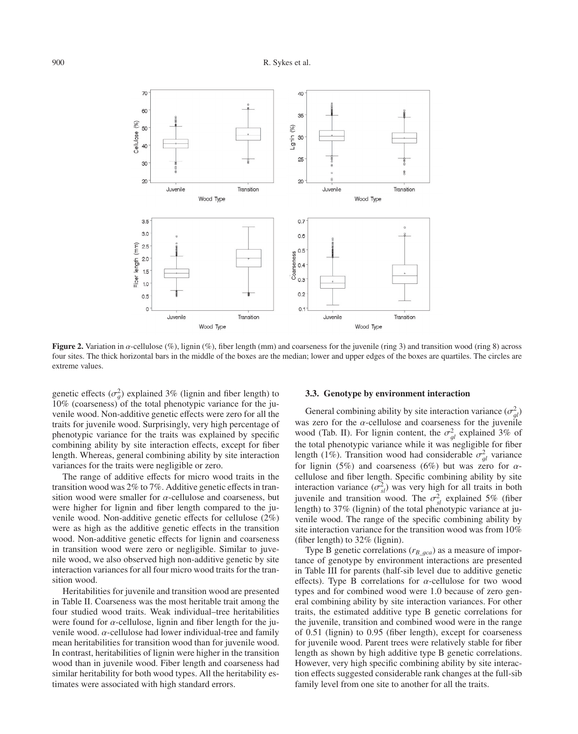

**Figure 2.** Variation in α-cellulose (%), lignin (%), fiber length (mm) and coarseness for the juvenile (ring 3) and transition wood (ring 8) across four sites. The thick horizontal bars in the middle of the boxes are the median; lower and upper edges of the boxes are quartiles. The circles are extreme values.

genetic effects  $(\sigma_g^2)$  explained 3% (lignin and fiber length) to  $10\%$  (coarseness) of the total phenotypic variance for the iu-10% (coarseness) of the total phenotypic variance for the juvenile wood. Non-additive genetic effects were zero for all the traits for juvenile wood. Surprisingly, very high percentage of phenotypic variance for the traits was explained by specific combining ability by site interaction effects, except for fiber length. Whereas, general combining ability by site interaction variances for the traits were negligible or zero.

The range of additive effects for micro wood traits in the transition wood was 2% to 7%. Additive genetic effects in transition wood were smaller for  $\alpha$ -cellulose and coarseness, but were higher for lignin and fiber length compared to the juvenile wood. Non-additive genetic effects for cellulose (2%) were as high as the additive genetic effects in the transition wood. Non-additive genetic effects for lignin and coarseness in transition wood were zero or negligible. Similar to juvenile wood, we also observed high non-additive genetic by site interaction variances for all four micro wood traits for the transition wood.

Heritabilities for juvenile and transition wood are presented in Table II. Coarseness was the most heritable trait among the four studied wood traits. Weak individual–tree heritabilities were found for  $\alpha$ -cellulose, lignin and fiber length for the juvenile wood.  $\alpha$ -cellulose had lower individual-tree and family mean heritabilities for transition wood than for juvenile wood. In contrast, heritabilities of lignin were higher in the transition wood than in juvenile wood. Fiber length and coarseness had similar heritability for both wood types. All the heritability estimates were associated with high standard errors.

## **3.3. Genotype by environment interaction**

General combining ability by site interaction variance  $(\sigma_{gl}^2)$ was zero for the *α*-cellulose and coarseness for the juvenile<br>
wood (Tab II) For lignin content the  $\sigma^2$  explained 3% of wood (Tab. II). For lignin content, the  $\sigma_{gl}^2$  explained 3% of<br>the total phenotypic variance while it was negligible for fiber the total phenotypic variance while it was negligible for fiber length (1%). Transition wood had considerable  $\sigma_{gl}^2$  variance<br>for lignin (5%) and coarseness (6%) but was zero for  $\alpha$ for lignin (5%) and coarseness (6%) but was zero for  $\alpha$ cellulose and fiber length. Specific combining ability by site interaction variance  $(\sigma_{sl}^2)$  was very high for all traits in both<br>invanile and transition wood. The  $\sigma^2$  explained 5% (fiber juvenile and transition wood. The  $\sigma_{sl}^2$  explained 5% (fiber<br>length) to 37% (lignin) of the total phenotypic variance at iulength) to 37% (lignin) of the total phenotypic variance at juvenile wood. The range of the specific combining ability by site interaction variance for the transition wood was from 10% (fiber length) to 32% (lignin).

Type B genetic correlations ( $r_{B\_gca}$ ) as a measure of importance of genotype by environment interactions are presented in Table III for parents (half-sib level due to additive genetic effects). Type B correlations for  $\alpha$ -cellulose for two wood types and for combined wood were 1.0 because of zero general combining ability by site interaction variances. For other traits, the estimated additive type B genetic correlations for the juvenile, transition and combined wood were in the range of 0.51 (lignin) to 0.95 (fiber length), except for coarseness for juvenile wood. Parent trees were relatively stable for fiber length as shown by high additive type B genetic correlations. However, very high specific combining ability by site interaction effects suggested considerable rank changes at the full-sib family level from one site to another for all the traits.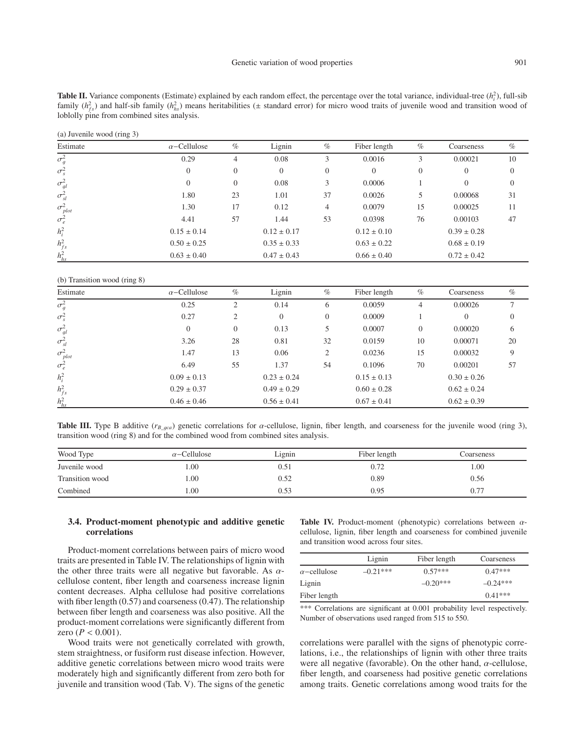**Table II.** Variance components (Estimate) explained by each random effect, the percentage over the total variance, individual-tree  $(h_i^2)$ , full-sib family  $(h_{fs}^2)$  and half-sib family  $(h_{hs}^2)$  means heritabilities ( $\pm$  standard error) for micro wood traits of juvenile wood and transition wood of loblolly pine from combined sites analysis.

(a) Juvenile wood (ring 3)

| Estimate          | $\alpha$ –Cellulose | $\%$             | Lignin          | $\%$           | Fiber length    | $\%$           | Coarseness      | $\%$     |
|-------------------|---------------------|------------------|-----------------|----------------|-----------------|----------------|-----------------|----------|
| $\sigma_g^2$      | 0.29                | $\overline{4}$   | 0.08            |                | 0.0016          |                | 0.00021         | 10       |
| $\sigma_s^2$      | $\Omega$            | $\overline{0}$   | $\overline{0}$  | $\overline{0}$ | $\theta$        | $\overline{0}$ | $\Omega$        | $\theta$ |
| $\sigma_{gl}^2$   | $\Omega$            | $\boldsymbol{0}$ | 0.08            | 3              | 0.0006          |                | 0               | 0        |
| $\sigma_{sl}^2$   | 1.80                | 23               | 1.01            | 37             | 0.0026          | 5              | 0.00068         | 31       |
| $\sigma_{plot}^2$ | 1.30                | 17               | 0.12            | 4              | 0.0079          | 15             | 0.00025         | 11       |
| $\sigma_e^2$      | 4.41                | 57               | 1.44            | 53             | 0.0398          | 76             | 0.00103         | 47       |
| $h_i^2$           | $0.15 \pm 0.14$     |                  | $0.12 \pm 0.17$ |                | $0.12 \pm 0.10$ |                | $0.39 \pm 0.28$ |          |
| $h_{fs}^2$        | $0.50 \pm 0.25$     |                  | $0.35 \pm 0.33$ |                | $0.63 \pm 0.22$ |                | $0.68 \pm 0.19$ |          |
| $h_{hs}^2$        | $0.63 \pm 0.40$     |                  | $0.47 \pm 0.43$ |                | $0.66 \pm 0.40$ |                | $0.72 \pm 0.42$ |          |

(b) Transition wood (ring 8)

| Estimate          | $\alpha$ –Cellulose | $\%$             | Lignin          | $\%$     | Fiber length    | $\%$           | Coarseness      | $\%$           |
|-------------------|---------------------|------------------|-----------------|----------|-----------------|----------------|-----------------|----------------|
| $\sigma_g^2$      | 0.25                | 2                | 0.14            | 6        | 0.0059          | 4              | 0.00026         |                |
| $\sigma_s^2$      | 0.27                | 2                | $\theta$        | $\Omega$ | 0.0009          |                | $\Omega$        | $\overline{0}$ |
| $\sigma_{gl}^2$   | $\theta$            | $\boldsymbol{0}$ | 0.13            | 5        | 0.0007          | $\overline{0}$ | 0.00020         | 6              |
| $\sigma_{sl}^2$   | 3.26                | 28               | 0.81            | 32       | 0.0159          | 10             | 0.00071         | 20             |
| $\sigma_{plot}^2$ | 1.47                | 13               | 0.06            | 2        | 0.0236          | 15             | 0.00032         | 9              |
| $\sigma_e^2$      | 6.49                | 55               | 1.37            | 54       | 0.1096          | 70             | 0.00201         | 57             |
| $h_i^2$           | $0.09 \pm 0.13$     |                  | $0.23 \pm 0.24$ |          | $0.15 \pm 0.13$ |                | $0.30 \pm 0.26$ |                |
| $h_{fs}^2$        | $0.29 \pm 0.37$     |                  | $0.49 \pm 0.29$ |          | $0.60 \pm 0.28$ |                | $0.62 \pm 0.24$ |                |
| $h_{hs}^2$        | $0.46 \pm 0.46$     |                  | $0.56 \pm 0.41$ |          | $0.67 \pm 0.41$ |                | $0.62 \pm 0.39$ |                |

**Table III.** Type B additive ( $r_{B\_gca}$ ) genetic correlations for  $\alpha$ -cellulose, lignin, fiber length, and coarseness for the juvenile wood (ring 3), transition wood (ring 8) and for the combined wood from combined sites analysis.

| Wood Type       | $\alpha$ –Cellulose | Lignin | Fiber length | Coarseness |
|-----------------|---------------------|--------|--------------|------------|
| Juvenile wood   | .00.                | 0.51   | 0.72         | 00.1       |
| Transition wood | 00.                 | 0.52   | 0.89         | 0.56       |
| Combined        | $00_{.1}$           | 0.53   | 0.95         | 0.77       |

# **3.4. Product-moment phenotypic and additive genetic correlations**

Product-moment correlations between pairs of micro wood traits are presented in Table IV. The relationships of lignin with the other three traits were all negative but favorable. As  $\alpha$ cellulose content, fiber length and coarseness increase lignin content decreases. Alpha cellulose had positive correlations with fiber length (0.57) and coarseness (0.47). The relationship between fiber length and coarseness was also positive. All the product-moment correlations were significantly different from zero ( $P < 0.001$ ).

Wood traits were not genetically correlated with growth, stem straightness, or fusiform rust disease infection. However, additive genetic correlations between micro wood traits were moderately high and significantly different from zero both for juvenile and transition wood (Tab. V). The signs of the genetic **Table IV.** Product-moment (phenotypic) correlations between αcellulose, lignin, fiber length and coarseness for combined juvenile and transition wood across four sites.

|                     | Lignin     | Fiber length | Coarseness |  |
|---------------------|------------|--------------|------------|--|
| $\alpha$ –cellulose | $-0.21***$ | $0.57***$    | $0.47***$  |  |
| Lignin              |            | $-0.20***$   | $-0.24***$ |  |
| Fiber length        |            |              | $0.41***$  |  |

\*\*\* Correlations are significant at 0.001 probability level respectively. Number of observations used ranged from 515 to 550.

correlations were parallel with the signs of phenotypic correlations, i.e., the relationships of lignin with other three traits were all negative (favorable). On the other hand,  $\alpha$ -cellulose, fiber length, and coarseness had positive genetic correlations among traits. Genetic correlations among wood traits for the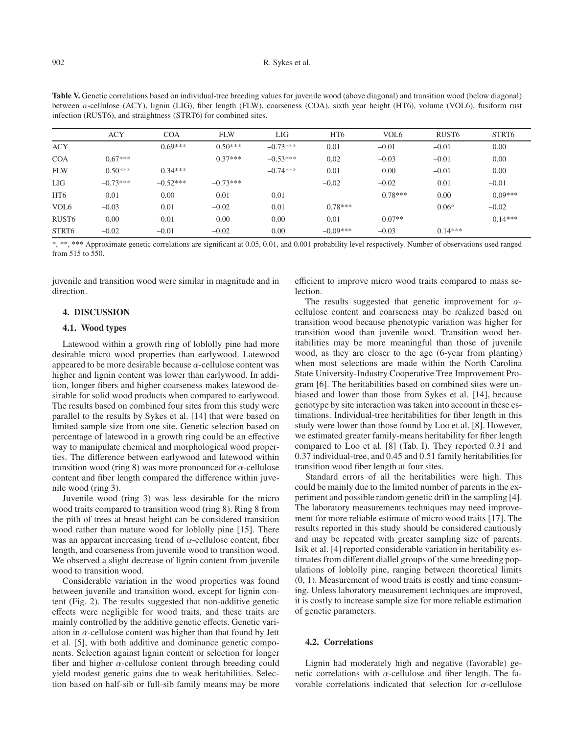|                   | <b>ACY</b> | <b>COA</b> | <b>FLW</b> | LIG        | HT <sub>6</sub> | VOL <sub>6</sub> | RUST <sub>6</sub> | STRT6      |
|-------------------|------------|------------|------------|------------|-----------------|------------------|-------------------|------------|
| <b>ACY</b>        |            | $0.69***$  | $0.50***$  | $-0.73***$ | 0.01            | $-0.01$          | $-0.01$           | 0.00       |
| <b>COA</b>        | $0.67***$  |            | $0.37***$  | $-0.53***$ | 0.02            | $-0.03$          | $-0.01$           | 0.00       |
| <b>FLW</b>        | $0.50***$  | $0.34***$  |            | $-0.74***$ | 0.01            | 0.00             | $-0.01$           | 0.00       |
| LIG               | $-0.73***$ | $-0.52***$ | $-0.73***$ |            | $-0.02$         | $-0.02$          | 0.01              | $-0.01$    |
| HT <sub>6</sub>   | $-0.01$    | 0.00       | $-0.01$    | 0.01       |                 | $0.78***$        | 0.00              | $-0.09***$ |
| VOL <sub>6</sub>  | $-0.03$    | 0.01       | $-0.02$    | 0.01       | $0.78***$       |                  | $0.06*$           | $-0.02$    |
| RUST <sub>6</sub> | 0.00       | $-0.01$    | 0.00       | 0.00       | $-0.01$         | $-0.07**$        |                   | $0.14***$  |
| STRT6             | $-0.02$    | $-0.01$    | $-0.02$    | 0.00       | $-0.09***$      | $-0.03$          | $0.14***$         |            |

**Table V.** Genetic correlations based on individual-tree breeding values for juvenile wood (above diagonal) and transition wood (below diagonal) between  $\alpha$ -cellulose (ACY), lignin (LIG), fiber length (FLW), coarseness (COA), sixth year height (HT6), volume (VOL6), fusiform rust infection (RUST6), and straightness (STRT6) for combined sites.

\*, \*\*, \*\*\* Approximate genetic correlations are significant at 0.05, 0.01, and 0.001 probability level respectively. Number of observations used ranged from 515 to 550.

juvenile and transition wood were similar in magnitude and in direction.

# **4. DISCUSSION**

# **4.1. Wood types**

Latewood within a growth ring of loblolly pine had more desirable micro wood properties than earlywood. Latewood appeared to be more desirable because  $\alpha$ -cellulose content was higher and lignin content was lower than earlywood. In addition, longer fibers and higher coarseness makes latewood desirable for solid wood products when compared to earlywood. The results based on combined four sites from this study were parallel to the results by Sykes et al. [14] that were based on limited sample size from one site. Genetic selection based on percentage of latewood in a growth ring could be an effective way to manipulate chemical and morphological wood properties. The difference between earlywood and latewood within transition wood (ring 8) was more pronounced for  $\alpha$ -cellulose content and fiber length compared the difference within juvenile wood (ring 3).

Juvenile wood (ring 3) was less desirable for the micro wood traits compared to transition wood (ring 8). Ring 8 from the pith of trees at breast height can be considered transition wood rather than mature wood for loblolly pine [15]. There was an apparent increasing trend of  $\alpha$ -cellulose content, fiber length, and coarseness from juvenile wood to transition wood. We observed a slight decrease of lignin content from juvenile wood to transition wood.

Considerable variation in the wood properties was found between juvenile and transition wood, except for lignin content (Fig. 2). The results suggested that non-additive genetic effects were negligible for wood traits, and these traits are mainly controlled by the additive genetic effects. Genetic variation in  $\alpha$ -cellulose content was higher than that found by Jett et al. [5], with both additive and dominance genetic components. Selection against lignin content or selection for longer fiber and higher  $\alpha$ -cellulose content through breeding could yield modest genetic gains due to weak heritabilities. Selection based on half-sib or full-sib family means may be more efficient to improve micro wood traits compared to mass se**lection** 

The results suggested that genetic improvement for  $\alpha$ cellulose content and coarseness may be realized based on transition wood because phenotypic variation was higher for transition wood than juvenile wood. Transition wood heritabilities may be more meaningful than those of juvenile wood, as they are closer to the age (6-year from planting) when most selections are made within the North Carolina State University-Industry Cooperative Tree Improvement Program [6]. The heritabilities based on combined sites were unbiased and lower than those from Sykes et al. [14], because genotype by site interaction was taken into account in these estimations. Individual-tree heritabilities for fiber length in this study were lower than those found by Loo et al. [8]. However, we estimated greater family-means heritability for fiber length compared to Loo et al. [8] (Tab. I). They reported 0.31 and 0.37 individual-tree, and 0.45 and 0.51 family heritabilities for transition wood fiber length at four sites.

Standard errors of all the heritabilities were high. This could be mainly due to the limited number of parents in the experiment and possible random genetic drift in the sampling [4]. The laboratory measurements techniques may need improvement for more reliable estimate of micro wood traits [17]. The results reported in this study should be considered cautiously and may be repeated with greater sampling size of parents. Isik et al. [4] reported considerable variation in heritability estimates from different diallel groups of the same breeding populations of loblolly pine, ranging between theoretical limits (0, 1). Measurement of wood traits is costly and time consuming. Unless laboratory measurement techniques are improved, it is costly to increase sample size for more reliable estimation of genetic parameters.

# **4.2. Correlations**

Lignin had moderately high and negative (favorable) genetic correlations with  $\alpha$ -cellulose and fiber length. The favorable correlations indicated that selection for  $\alpha$ -cellulose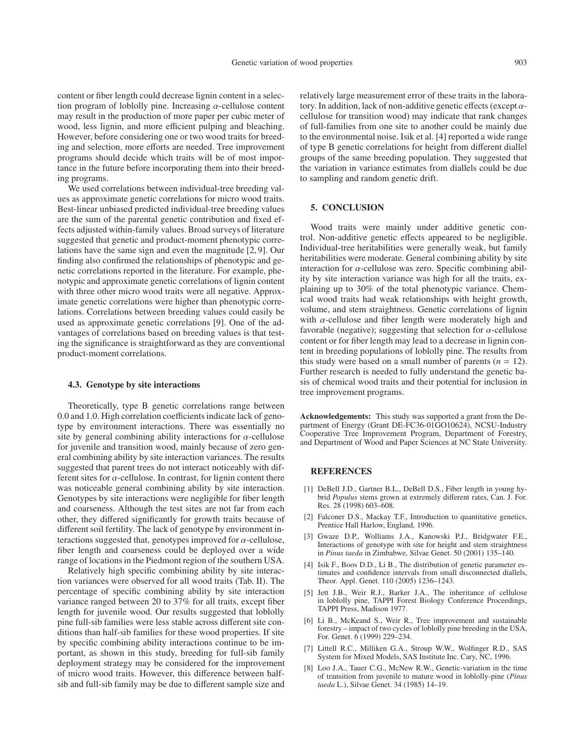content or fiber length could decrease lignin content in a selection program of loblolly pine. Increasing  $\alpha$ -cellulose content may result in the production of more paper per cubic meter of wood, less lignin, and more efficient pulping and bleaching. However, before considering one or two wood traits for breeding and selection, more efforts are needed. Tree improvement programs should decide which traits will be of most importance in the future before incorporating them into their breeding programs.

We used correlations between individual-tree breeding values as approximate genetic correlations for micro wood traits. Best-linear unbiased predicted individual-tree breeding values are the sum of the parental genetic contribution and fixed effects adjusted within-family values. Broad surveys of literature suggested that genetic and product-moment phenotypic correlations have the same sign and even the magnitude [2, 9]. Our finding also confirmed the relationships of phenotypic and genetic correlations reported in the literature. For example, phenotypic and approximate genetic correlations of lignin content with three other micro wood traits were all negative. Approximate genetic correlations were higher than phenotypic correlations. Correlations between breeding values could easily be used as approximate genetic correlations [9]. One of the advantages of correlations based on breeding values is that testing the significance is straightforward as they are conventional product-moment correlations.

#### **4.3. Genotype by site interactions**

Theoretically, type B genetic correlations range between 0.0 and 1.0. High correlation coefficients indicate lack of genotype by environment interactions. There was essentially no site by general combining ability interactions for  $\alpha$ -cellulose for juvenile and transition wood, mainly because of zero general combining ability by site interaction variances. The results suggested that parent trees do not interact noticeably with different sites for  $\alpha$ -cellulose. In contrast, for lignin content there was noticeable general combining ability by site interaction. Genotypes by site interactions were negligible for fiber length and coarseness. Although the test sites are not far from each other, they differed significantly for growth traits because of different soil fertility. The lack of genotype by environment interactions suggested that, genotypes improved for  $\alpha$ -cellulose, fiber length and coarseness could be deployed over a wide range of locations in the Piedmont region of the southern USA.

Relatively high specific combining ability by site interaction variances were observed for all wood traits (Tab. II). The percentage of specific combining ability by site interaction variance ranged between 20 to 37% for all traits, except fiber length for juvenile wood. Our results suggested that loblolly pine full-sib families were less stable across different site conditions than half-sib families for these wood properties. If site by specific combining ability interactions continue to be important, as shown in this study, breeding for full-sib family deployment strategy may be considered for the improvement of micro wood traits. However, this difference between halfsib and full-sib family may be due to different sample size and relatively large measurement error of these traits in the laboratory. In addition, lack of non-additive genetic effects (except  $\alpha$ cellulose for transition wood) may indicate that rank changes of full-families from one site to another could be mainly due to the environmental noise. Isik et al. [4] reported a wide range of type B genetic correlations for height from different diallel groups of the same breeding population. They suggested that the variation in variance estimates from diallels could be due to sampling and random genetic drift.

## **5. CONCLUSION**

Wood traits were mainly under additive genetic control. Non-additive genetic effects appeared to be negligible. Individual-tree heritabilities were generally weak, but family heritabilities were moderate. General combining ability by site interaction for  $\alpha$ -cellulose was zero. Specific combining ability by site interaction variance was high for all the traits, explaining up to 30% of the total phenotypic variance. Chemical wood traits had weak relationships with height growth, volume, and stem straightness. Genetic correlations of lignin with  $\alpha$ -cellulose and fiber length were moderately high and favorable (negative); suggesting that selection for  $\alpha$ -cellulose content or for fiber length may lead to a decrease in lignin content in breeding populations of loblolly pine. The results from this study were based on a small number of parents  $(n = 12)$ . Further research is needed to fully understand the genetic basis of chemical wood traits and their potential for inclusion in tree improvement programs.

**Acknowledgements:** This study was supported a grant from the Department of Energy (Grant DE-FC36-01GO10624), NCSU-Industry Cooperative Tree Improvement Program, Department of Forestry, and Department of Wood and Paper Sciences at NC State University.

#### **REFERENCES**

- [1] DeBell J.D., Gartner B.L., DeBell D.S., Fiber length in young hybrid *Populus* stems grown at extremely different rates, Can. J. For. Res. 28 (1998) 603–608.
- [2] Falconer D.S., Mackay T.F., Introduction to quantitative genetics, Prentice Hall Harlow, England, 1996.
- [3] Gwaze D.P., Wolliams J.A., Kanowski P.J., Bridgwater F.E., Interactions of genotype with site for height and stem straightness in *Pinus taeda* in Zimbabwe, Silvae Genet. 50 (2001) 135–140.
- [4] Isik F., Boos D.D., Li B., The distribution of genetic parameter estimates and confidence intervals from small disconnected diallels, Theor. Appl. Genet. 110 (2005) 1236–1243.
- [5] Jett J.B., Weir R.J., Barker J.A., The inheritance of cellulose in loblolly pine, TAPPI Forest Biology Conference Proceedings, TAPPI Press, Madison 1977.
- [6] Li B., McKeand S., Weir R., Tree improvement and sustainable forestry – impact of two cycles of loblolly pine breeding in the USA, For. Genet. 6 (1999) 229–234.
- [7] Littell R.C., Milliken G.A., Stroup W.W., Wolfinger R.D., SAS System for Mixed Models, SAS Institute Inc. Cary, NC, 1996.
- [8] Loo J.A., Tauer C.G., McNew R.W., Genetic-variation in the time of transition from juvenile to mature wood in loblolly-pine (*Pinus taeda* L.), Silvae Genet. 34 (1985) 14–19.